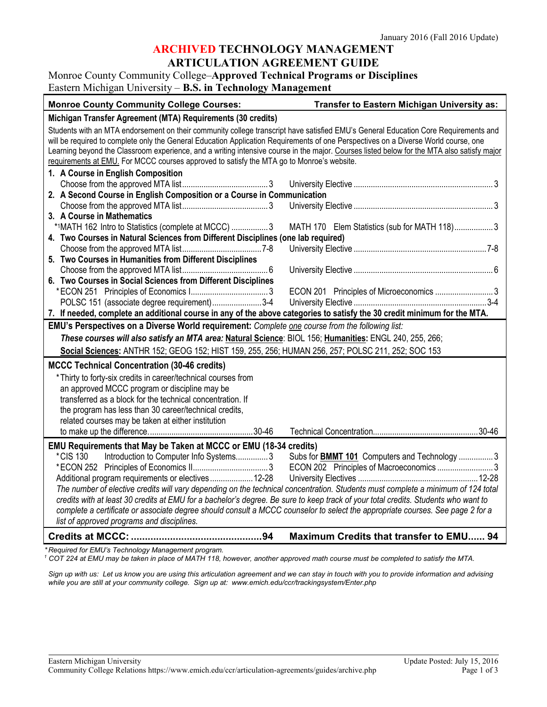## **ARCHIVED TECHNOLOGY MANAGEMENT**

### **ARTICULATION AGREEMENT GUIDE**

Monroe County Community College–**Approved Technical Programs or Disciplines**

| Eastern Michigan University – B.S. in Technology Management                                                                                |                                                     |  |
|--------------------------------------------------------------------------------------------------------------------------------------------|-----------------------------------------------------|--|
| <b>Monroe County Community College Courses:</b>                                                                                            | Transfer to Eastern Michigan University as:         |  |
| Michigan Transfer Agreement (MTA) Requirements (30 credits)                                                                                |                                                     |  |
| Students with an MTA endorsement on their community college transcript have satisfied EMU's General Education Core Requirements and        |                                                     |  |
| will be required to complete only the General Education Application Requirements of one Perspectives on a Diverse World course, one        |                                                     |  |
| Learning beyond the Classroom experience, and a writing intensive course in the major. Courses listed below for the MTA also satisfy major |                                                     |  |
| requirements at EMU. For MCCC courses approved to satisfy the MTA go to Monroe's website.                                                  |                                                     |  |
| 1. A Course in English Composition                                                                                                         |                                                     |  |
|                                                                                                                                            |                                                     |  |
| 2. A Second Course in English Composition or a Course in Communication                                                                     |                                                     |  |
|                                                                                                                                            |                                                     |  |
| 3. A Course in Mathematics                                                                                                                 |                                                     |  |
| *1MATH 162 Intro to Statistics (complete at MCCC)  3                                                                                       | MATH 170 Elem Statistics (sub for MATH 118)3        |  |
| 4. Two Courses in Natural Sciences from Different Disciplines (one lab required)                                                           |                                                     |  |
|                                                                                                                                            |                                                     |  |
| 5. Two Courses in Humanities from Different Disciplines                                                                                    |                                                     |  |
|                                                                                                                                            |                                                     |  |
| 6. Two Courses in Social Sciences from Different Disciplines                                                                               |                                                     |  |
|                                                                                                                                            |                                                     |  |
| POLSC 151 (associate degree requirement)3-4                                                                                                |                                                     |  |
| 7. If needed, complete an additional course in any of the above categories to satisfy the 30 credit minimum for the MTA.                   |                                                     |  |
| EMU's Perspectives on a Diverse World requirement: Complete one course from the following list:                                            |                                                     |  |
| These courses will also satisfy an MTA area: Natural Science: BIOL 156; Humanities: ENGL 240, 255, 266;                                    |                                                     |  |
| Social Sciences: ANTHR 152; GEOG 152; HIST 159, 255, 256; HUMAN 256, 257; POLSC 211, 252; SOC 153                                          |                                                     |  |
| <b>MCCC Technical Concentration (30-46 credits)</b>                                                                                        |                                                     |  |
| *Thirty to forty-six credits in career/technical courses from                                                                              |                                                     |  |
| an approved MCCC program or discipline may be                                                                                              |                                                     |  |
| transferred as a block for the technical concentration. If                                                                                 |                                                     |  |
| the program has less than 30 career/technical credits,                                                                                     |                                                     |  |
| related courses may be taken at either institution                                                                                         |                                                     |  |
|                                                                                                                                            |                                                     |  |
| EMU Requirements that May be Taken at MCCC or EMU (18-34 credits)                                                                          |                                                     |  |
| *CIS 130<br>Introduction to Computer Info Systems3                                                                                         | Subs for <b>BMMT 101</b> Computers and Technology 3 |  |
|                                                                                                                                            | ECON 202 Principles of Macroeconomics 3             |  |
| Additional program requirements or electives 12-28                                                                                         |                                                     |  |
| The number of elective credits will vary depending on the technical concentration. Students must complete a minimum of 124 total           |                                                     |  |
| credits with at least 30 credits at EMU for a bachelor's degree. Be sure to keep track of your total credits. Students who want to         |                                                     |  |
| complete a certificate or associate degree should consult a MCCC counselor to select the appropriate courses. See page 2 for a             |                                                     |  |
| list of approved programs and disciplines.                                                                                                 |                                                     |  |
|                                                                                                                                            | Maximum Credits that transfer to EMU 94             |  |
| Dominad for EMI Ve Technology Monograment program                                                                                          |                                                     |  |

*\* Required for EMU's Technology Management program.* 

*<sup>1</sup> COT 224 at EMU may be taken in place of MATH 118, however, another approved math course must be completed to satisfy the MTA.*

*Sign up with us: Let us know you are using this articulation agreement and we can stay in touch with you to provide information and advising while you are still at your community college. Sign up at: [www.emich.edu/ccr/trackingsystem/Enter.php](http://www.emich.edu/ccr/trackingsystem/Enter.php)*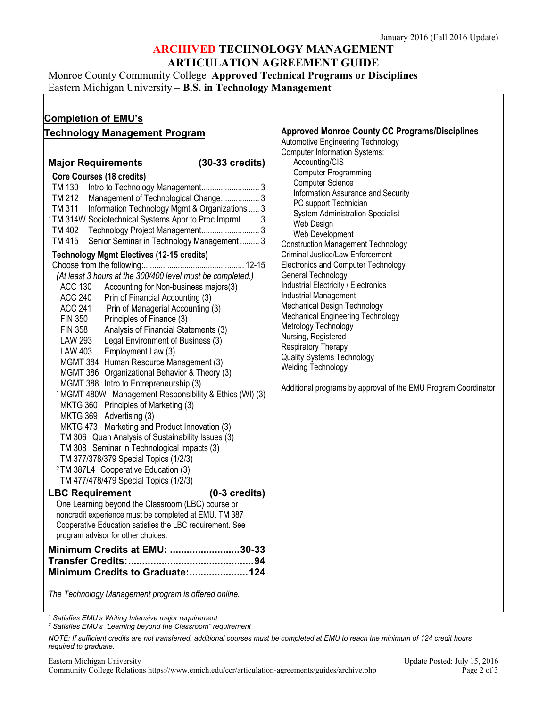### **ARCHIVED TECHNOLOGY MANAGEMENT ARTICULATION AGREEMENT GUIDE**

Monroe County Community College–**Approved Technical Programs or Disciplines**

Eastern Michigan University – **B.S. in Technology Management**

| <b>Completion of EMU's</b>                                                                                                                                                                                                                                                                                                                                                                                                                                                                                                                                                                                                                                                                                                                                                                                                                                                                                                                                                                                                                                                                                                                                                                                                                                                                                                                                                                                                                                                                                                                                                                                                                                                                                                                                                                                                                             |                                                                                                                                                                                                                                                                                                                                                                                                                                                                                                                                                                                                                                                                                                                                                                                                                                                         |
|--------------------------------------------------------------------------------------------------------------------------------------------------------------------------------------------------------------------------------------------------------------------------------------------------------------------------------------------------------------------------------------------------------------------------------------------------------------------------------------------------------------------------------------------------------------------------------------------------------------------------------------------------------------------------------------------------------------------------------------------------------------------------------------------------------------------------------------------------------------------------------------------------------------------------------------------------------------------------------------------------------------------------------------------------------------------------------------------------------------------------------------------------------------------------------------------------------------------------------------------------------------------------------------------------------------------------------------------------------------------------------------------------------------------------------------------------------------------------------------------------------------------------------------------------------------------------------------------------------------------------------------------------------------------------------------------------------------------------------------------------------------------------------------------------------------------------------------------------------|---------------------------------------------------------------------------------------------------------------------------------------------------------------------------------------------------------------------------------------------------------------------------------------------------------------------------------------------------------------------------------------------------------------------------------------------------------------------------------------------------------------------------------------------------------------------------------------------------------------------------------------------------------------------------------------------------------------------------------------------------------------------------------------------------------------------------------------------------------|
| <b>Technology Management Program</b><br>$(30-33 \text{ credits})$<br><b>Major Requirements</b><br><b>Core Courses (18 credits)</b><br>TM 130<br>TM 212<br>Management of Technological Change 3<br>TM 311<br>Information Technology Mgmt & Organizations  3<br><sup>1</sup> TM 314W Sociotechnical Systems Appr to Proc Imprmt  3<br>Senior Seminar in Technology Management  3<br>TM 415<br><b>Technology Mgmt Electives (12-15 credits)</b><br>(At least 3 hours at the 300/400 level must be completed.)<br><b>ACC 130</b><br>Accounting for Non-business majors(3)<br><b>ACC 240</b><br>Prin of Financial Accounting (3)<br><b>ACC 241</b><br>Prin of Managerial Accounting (3)<br>FIN 350<br>Principles of Finance (3)<br><b>FIN 358</b><br>Analysis of Financial Statements (3)<br><b>LAW 293</b><br>Legal Environment of Business (3)<br>LAW 403<br>Employment Law (3)<br>MGMT 384 Human Resource Management (3)<br>MGMT 386 Organizational Behavior & Theory (3)<br>MGMT 388 Intro to Entrepreneurship (3)<br><sup>1</sup> MGMT 480W Management Responsibility & Ethics (WI) (3)<br>MKTG 360 Principles of Marketing (3)<br>MKTG 369 Advertising (3)<br>MKTG 473 Marketing and Product Innovation (3)<br>TM 306 Quan Analysis of Sustainability Issues (3)<br>TM 308 Seminar in Technological Impacts (3)<br>TM 377/378/379 Special Topics (1/2/3)<br><sup>2</sup> TM 387L4 Cooperative Education (3)<br>TM 477/478/479 Special Topics (1/2/3)<br><b>LBC Requirement</b><br>$(0-3 \text{ credits})$<br>One Learning beyond the Classroom (LBC) course or<br>noncredit experience must be completed at EMU. TM 387<br>Cooperative Education satisfies the LBC requirement. See<br>program advisor for other choices.<br>Minimum Credits at EMU: 30-33<br>Minimum Credits to Graduate:124<br>The Technology Management program is offered online. | <b>Approved Monroe County CC Programs/Disciplines</b><br>Automotive Engineering Technology<br><b>Computer Information Systems:</b><br>Accounting/CIS<br><b>Computer Programming</b><br><b>Computer Science</b><br>Information Assurance and Security<br>PC support Technician<br><b>System Administration Specialist</b><br>Web Design<br>Web Development<br><b>Construction Management Technology</b><br>Criminal Justice/Law Enforcement<br>Electronics and Computer Technology<br>General Technology<br>Industrial Electricity / Electronics<br>Industrial Management<br>Mechanical Design Technology<br>Mechanical Engineering Technology<br>Metrology Technology<br>Nursing, Registered<br>Respiratory Therapy<br><b>Quality Systems Technology</b><br><b>Welding Technology</b><br>Additional programs by approval of the EMU Program Coordinator |

*<sup>1</sup> Satisfies EMU's Writing Intensive major requirement*

*<sup>2</sup> Satisfies EMU's "Learning beyond the Classroom" requirement*

*NOTE: If sufficient credits are not transferred, additional courses must be completed at EMU to reach the minimum of 124 credit hours required to graduate.*